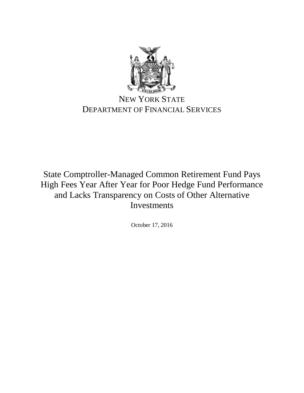

# NEW YORK STATE DEPARTMENT OF FINANCIAL SERVICES

State Comptroller-Managed Common Retirement Fund Pays High Fees Year After Year for Poor Hedge Fund Performance and Lacks Transparency on Costs of Other Alternative Investments

October 17, 2016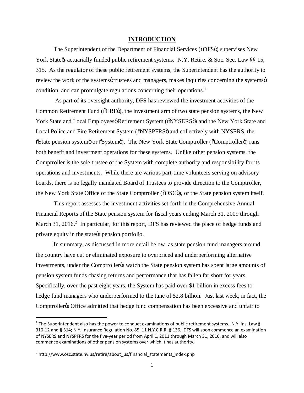#### **INTRODUCTION**

The Superintendent of the Department of Financial Services ( $\delta$ DFS $\ddot{o}$ ) supervises New York State & actuarially funded public retirement systems. N.Y. Retire. & Soc. Sec. Law §§ 15, 315. As the regulator of these public retirement systems, the Superintendent has the authority to review the work of the systems  $\phi$  trustees and managers, makes inquiries concerning the systems  $\phi$ condition, and can promulgate regulations concerning their operations.<sup>1</sup>

As part of its oversight authority, DFS has reviewed the investment activities of the Common Retirement Fund ( $\tilde{o}$ CRF $\tilde{o}$ ), the investment arm of two state pension systems, the New York State and Local Employeesø Retirement System ( $\delta$ NYSERS $\ddot{o}$ ) and the New York State and Local Police and Fire Retirement System ( $\delta NYSPFRS\ddot{o}$  and collectively with NYSERS, the  $\tilde{\text{S}}$ tate pension system or  $\tilde{\text{S}}$ ystemo). The New York State Comptroller ( $\tilde{\text{O}}$ Comptrollero) runs both benefit and investment operations for these systems. Unlike other pension systems, the Comptroller is the sole trustee of the System with complete authority and responsibility for its operations and investments. While there are various part-time volunteers serving on advisory boards, there is no legally mandated Board of Trustees to provide direction to the Comptroller, the New York State Office of the State Comptroller ( $\delta$ OSC $\ddot{\text{o}}$ ), or the State pension system itself.

This report assesses the investment activities set forth in the Comprehensive Annual Financial Reports of the State pension system for fiscal years ending March 31, 2009 through March 31, 2016.<sup>2</sup> In particular, for this report, DFS has reviewed the place of hedge funds and private equity in the state  $\alpha$  pension portfolio.

In summary, as discussed in more detail below, as state pension fund managers around the country have cut or eliminated exposure to overpriced and underperforming alternative investments, under the Comptroller twatch the State pension system has spent large amounts of pension system funds chasing returns and performance that has fallen far short for years. Specifically, over the past eight years, the System has paid over \$1 billion in excess fees to hedge fund managers who underperformed to the tune of \$2.8 billion. Just last week, in fact, the Comptroller to Office admitted that hedge fund compensation has been excessive and unfair to

<sup>&</sup>lt;sup>1</sup> The Superintendent also has the power to conduct examinations of public retirement systems. N.Y. Ins. Law § 310-12 and § 314; N.Y. Insurance Regulation No. 85, 11 N.Y.C.R.R. § 136. DFS will soon commence an examination of NYSERS and NYSPFRS for the five-year period from April 1, 2011 through March 31, 2016, and will also commence examinations of other pension systems over which it has authority.

<sup>2</sup> http://www.osc.state.ny.us/retire/about\_us/financial\_statements\_index.php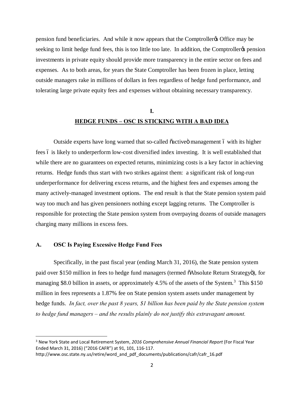pension fund beneficiaries. And while it now appears that the Comptroller's Office may be seeking to limit hedge fund fees, this is too little too late. In addition, the Comptroller pension investments in private equity should provide more transparency in the entire sector on fees and expenses. As to both areas, for years the State Comptroller has been frozen in place, letting outside managers rake in millions of dollars in fees regardless of hedge fund performance, and tolerating large private equity fees and expenses without obtaining necessary transparency.

## **I. HEDGE FUNDS – OSC IS STICKING WITH A BAD IDEA**

Outside experts have long warned that so-called õactiveö management ó with its higher fees 6 is likely to underperform low-cost diversified index investing. It is well established that while there are no guarantees on expected returns, minimizing costs is a key factor in achieving returns. Hedge funds thus start with two strikes against them: a significant risk of long-run underperformance for delivering excess returns, and the highest fees and expenses among the many actively-managed investment options. The end result is that the State pension system paid way too much and has given pensioners nothing except lagging returns. The Comptroller is responsible for protecting the State pension system from overpaying dozens of outside managers charging many millions in excess fees.

### **A. OSC Is Paying Excessive Hedge Fund Fees**

Specifically, in the past fiscal year (ending March 31, 2016), the State pension system paid over \$150 million in fees to hedge fund managers (termed  $\delta$ Absolute Return Strategyö), for managing \$8.0 billion in assets, or approximately 4.5% of the assets of the System.<sup>3</sup> This \$150 million in fees represents a 1.87% fee on State pension system assets under management by hedge funds. *In fact, over the past 8 years, \$1 billion has been paid by the State pension system to hedge fund managers – and the results plainly do not justify this extravagant amount.* 

 <sup>3</sup> New York State and Local Retirement System, *2016 Comprehensive Annual Financial Report* (For Fiscal Year Ended March 31, 2016) ("2016 CAFR") at 91, 101, 116-117.

http://www.osc.state.ny.us/retire/word\_and\_pdf\_documents/publications/cafr/cafr\_16.pdf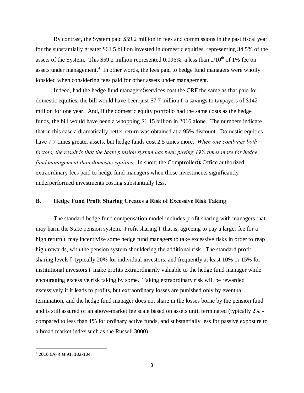By contrast, the System paid \$59.2 million in fees and commissions in the past fiscal year for the substantially greater \$61.5 billion invested in domestic equities, representing 34.5% of the assets of the System. This \$59.2 million represented 0.096%, a less than  $1/10<sup>th</sup>$  of 1% fee on assets under management.<sup>4</sup> In other words, the fees paid to hedge fund managers were wholly lopsided when considering fees paid for other assets under management.

Indeed, had the hedge fund managers pservices cost the CRF the same as that paid for domestic equities, the bill would have been just \$7.7 million 6 a savings to taxpayers of \$142 million for one year. And, if the domestic equity portfolio had the same costs as the hedge funds, the bill would have been a whopping \$1.15 billion in 2016 alone. The numbers indicate that in this case a dramatically better return was obtained at a 95% discount. Domestic equities have 7.7 times greater assets, but hedge funds cost 2.5 times more. *When one combines both factors, the result is that the State pension system has been paying 19½ times more for hedge fund management than domestic equities.* In short, the Comptroller & Office authorized extraordinary fees paid to hedge fund managers when those investments significantly underperformed investments costing substantially less.

### **B. Hedge Fund Profit Sharing Creates a Risk of Excessive Risk Taking**

The standard hedge fund compensation model includes profit sharing with managers that may harm the State pension system. Profit sharing 6 that is, agreeing to pay a larger fee for a high return 6 may incentivize some hedge fund managers to take excessive risks in order to reap high rewards, with the pension system shouldering the additional risk. The standard profit sharing levels 6 typically 20% for individual investors, and frequently at least 10% or 15% for institutional investors 6 make profits extraordinarily valuable to the hedge fund manager while encouraging excessive risk taking by some. Taking extraordinary risk will be rewarded excessively if it leads to profits, but extraordinary losses are punished only by eventual termination, and the hedge fund manager does not share in the losses borne by the pension fund and is still assured of an above-market fee scale based on assets until terminated (typically 2% compared to less than 1% for ordinary active funds, and substantially less for passive exposure to a broad market index such as the Russell 3000).

 <sup>4</sup> 2016 CAFR at 91, 102-104.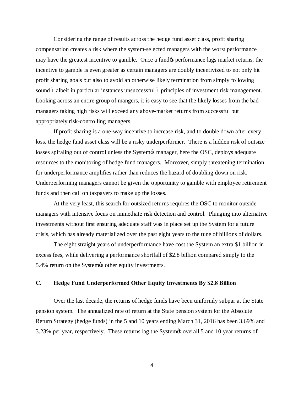Considering the range of results across the hedge fund asset class, profit sharing compensation creates a risk where the system-selected managers with the worst performance may have the greatest incentive to gamble. Once a fund  $\alpha$  performance lags market returns, the incentive to gamble is even greater as certain managers are doubly incentivized to not only hit profit sharing goals but also to avoid an otherwise likely termination from simply following sound 6 albeit in particular instances unsuccessful 6 principles of investment risk management. Looking across an entire group of mangers, it is easy to see that the likely losses from the bad managers taking high risks will exceed any above-market returns from successful but appropriately risk-controlling managers.

If profit sharing is a one-way incentive to increase risk, and to double down after every loss, the hedge fund asset class will be a risky underperformer. There is a hidden risk of outsize losses spiraling out of control unless the System $\alpha$  manager, here the OSC, deploys adequate resources to the monitoring of hedge fund managers. Moreover, simply threatening termination for underperformance amplifies rather than reduces the hazard of doubling down on risk. Underperforming managers cannot be given the opportunity to gamble with employee retirement funds and then call on taxpayers to make up the losses.

At the very least, this search for outsized returns requires the OSC to monitor outside managers with intensive focus on immediate risk detection and control. Plunging into alternative investments without first ensuring adequate staff was in place set up the System for a future crisis, which has already materialized over the past eight years to the tune of billions of dollars.

The eight straight years of underperformance have cost the System an extra \$1 billion in excess fees, while delivering a performance shortfall of \$2.8 billion compared simply to the 5.4% return on the System is other equity investments.

### **C. Hedge Fund Underperformed Other Equity Investments By \$2.8 Billion**

Over the last decade, the returns of hedge funds have been uniformly subpar at the State pension system. The annualized rate of return at the State pension system for the Absolute Return Strategy (hedge funds) in the 5 and 10 years ending March 31, 2016 has been 3.69% and 3.23% per year, respectively. These returns lag the System is overall 5 and 10 year returns of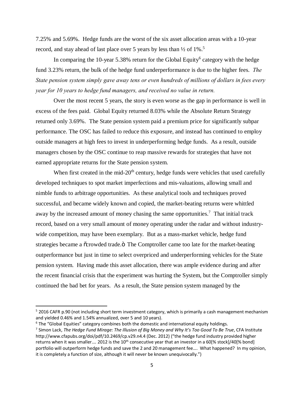7.25% and 5.69%. Hedge funds are the worst of the six asset allocation areas with a 10-year record, and stay ahead of last place over 5 years by less than ½ of 1%. 5

In comparing the 10-year 5.38% return for the Global Equity<sup>6</sup> category with the hedge fund 3.23% return, the bulk of the hedge fund underperformance is due to the higher fees. *The State pension system simply gave away tens or even hundreds of millions of dollars in fees every year for 10 years to hedge fund managers, and received no value in return.* 

Over the most recent 5 years, the story is even worse as the gap in performance is well in excess of the fees paid. Global Equity returned 8.03% while the Absolute Return Strategy returned only 3.69%. The State pension system paid a premium price for significantly subpar performance. The OSC has failed to reduce this exposure, and instead has continued to employ outside managers at high fees to invest in underperforming hedge funds. As a result, outside managers chosen by the OSC continue to reap massive rewards for strategies that have not earned appropriate returns for the State pension system.

When first created in the mid- $20<sup>th</sup>$  century, hedge funds were vehicles that used carefully developed techniques to spot market imperfections and mis-valuations, allowing small and nimble funds to arbitrage opportunities. As these analytical tools and techniques proved successful, and became widely known and copied, the market-beating returns were whittled away by the increased amount of money chasing the same opportunities.<sup>7</sup> That initial track record, based on a very small amount of money operating under the radar and without industrywide competition, may have been exemplary. But as a mass-market vehicle, hedge fund strategies became a  $\tilde{\text{c}}$  crowded trade. $\ddot{\text{o}}$  The Comptroller came too late for the market-beating outperformance but just in time to select overpriced and underperforming vehicles for the State pension system. Having made this asset allocation, there was ample evidence during and after the recent financial crisis that the experiment was hurting the System, but the Comptroller simply continued the bad bet for years. As a result, the State pension system managed by the

 <sup>5</sup> 2016 CAFR p.90 (not including short term investment category, which is primarily a cash management mechanism and yielded 0.46% and 1.54% annualized, over 5 and 10 years).

 $6$  The "Global Equities" category combines both the domestic and international equity holdings.

<sup>7</sup> Simon Lack, *The Hedge Fund Mirage: The Illusion of Big Money and Why It's Too Good To Be True*, CFA Institute http://www.cfapubs.org/doi/pdf/10.2469/cp.v29.n4.4 (Dec. 2012) ("the hedge fund industry provided higher returns when it was smaller.... 2012 is the  $10^{th}$  consecutive year that an investor in a 60[% stock]/40[% bond] portfolio will outperform hedge funds and save the 2 and 20 management fee…. What happened? In my opinion, it is completely a function of size, although it will never be known unequivocally.")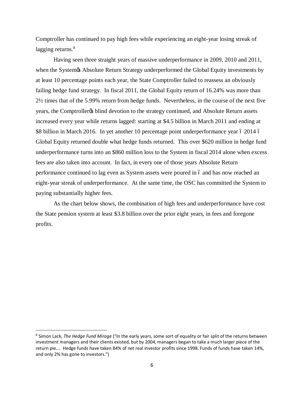Comptroller has continued to pay high fees while experiencing an eight-year losing streak of lagging returns.<sup>8</sup>

Having seen three straight years of massive underperformance in 2009, 2010 and 2011, when the System & Absolute Return Strategy underperformed the Global Equity investments by at least 10 percentage points each year, the State Comptroller failed to reassess an obviously failing hedge fund strategy. In fiscal 2011, the Global Equity return of 16.24% was more than 2½ times that of the 5.99% return from hedge funds. Nevertheless, in the course of the next five years, the Comptroller to blind devotion to the strategy continued, and Absolute Return assets increased every year while returns lagged: starting at \$4.5 billion in March 2011 and ending at \$8 billion in March 2016. In yet another 10 percentage point underperformance year 6 2014 6 Global Equity returned double what hedge funds returned. This over \$620 million in hedge fund underperformance turns into an \$860 million loss to the System in fiscal 2014 alone when excess fees are also taken into account. In fact, in every one of those years Absolute Return performance continued to lag even as System assets were poured in 6 and has now reached an eight-year streak of underperformance. At the same time, the OSC has committed the System to paying substantially higher fees.

As the chart below shows, the combination of high fees and underperformance have cost the State pension system at least \$3.8 billion over the prior eight years, in fees and foregone profits.

 <sup>8</sup> Simon Lack, *The Hedge Fund Mirage* ("In the early years, some sort of equality or fair split of the returns between investment managers and their clients existed, but by 2004, managers began to take a much larger piece of the return pie…. Hedge funds have taken 84% of net real investor profits since 1998. Funds of funds have taken 14%, and only 2% has gone to investors.")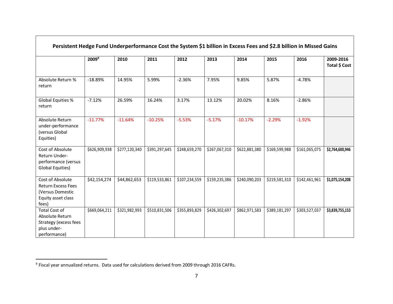| Persistent Hedge Fund Underperformance Cost the System \$1 billion in Excess Fees and \$2.8 billion in Missed Gains |                   |               |               |               |               |               |               |               |                            |
|---------------------------------------------------------------------------------------------------------------------|-------------------|---------------|---------------|---------------|---------------|---------------|---------------|---------------|----------------------------|
|                                                                                                                     | 2009 <sup>9</sup> | 2010          | 2011          | 2012          | 2013          | 2014          | 2015          | 2016          | 2009-2016<br>Total \$ Cost |
| Absolute Return %<br>return                                                                                         | $-18.89%$         | 14.95%        | 5.99%         | $-2.36%$      | 7.95%         | 9.85%         | 5.87%         | $-4.78%$      |                            |
| Global Equities %<br>return                                                                                         | $-7.12%$          | 26.59%        | 16.24%        | 3.17%         | 13.12%        | 20.02%        | 8.16%         | $-2.86%$      |                            |
| Absolute Return<br>under-performance<br>(versus Global<br>Equities)                                                 | $-11.77%$         | $-11.64%$     | $-10.25%$     | $-5.53%$      | $-5.17%$      | $-10.17%$     | $-2.29%$      | $-1.92%$      |                            |
| Cost of Absolute<br>Return Under-<br>performance (versus<br>Global Equities)                                        | \$626,909,938     | \$277,120,340 | \$391,297,645 | \$248,659,270 | \$267,067,310 | \$622,881,380 | \$169,599,988 | \$161,065,075 | \$2,764,600,946            |
| Cost of Absolute<br><b>Return Excess Fees</b><br>(Versus Domestic<br>Equity asset class<br>fees)                    | \$42,154,274      | \$44,862,653  | \$119,533,861 | \$107,234,559 | \$159,235,386 | \$240,090,203 | \$219,581,310 | \$142,461,961 | \$1,075,154,208            |
| Total Cost of<br>Absolute Return<br>Strategy (excess fees<br>plus under-<br>performance)                            | \$669,064,211     | \$321,982,993 | \$510,831,506 | \$355,893,829 | \$426,302,697 | \$862,971,583 | \$389,181,297 | \$303,527,037 | \$3,839,755,153            |

 <sup>9</sup> Fiscal year annualized returns. Data used for calculations derived from 2009 through 2016 CAFRs.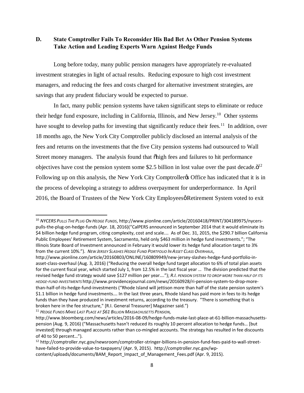### **D. State Comptroller Fails To Reconsider His Bad Bet As Other Pension Systems Take Action and Leading Experts Warn Against Hedge Funds**

Long before today, many public pension managers have appropriately re-evaluated investment strategies in light of actual results. Reducing exposure to high cost investment managers, and reducing the fees and costs charged for alternative investment strategies, are savings that any prudent fiduciary would be expected to pursue.

In fact, many public pension systems have taken significant steps to eliminate or reduce their hedge fund exposure, including in California, Illinois, and New Jersey.<sup>10</sup> Other systems have sought to develop paths for investing that significantly reduce their fees.<sup>11</sup> In addition, over 18 months ago, the New York City Comptroller publicly disclosed an internal analysis of the fees and returns on the investments that the five City pension systems had outsourced to Wall Street money managers. The analysis found that  $\delta$ high fees and failures to hit performance objectives have cost the pension system some \$2.5 billion in lost value over the past decade. $\ddot{\mathrm{o}}^{12}$ Following up on this analysis, the New York City Comptroller & Office has indicated that it is in the process of developing a strategy to address overpayment for underperformance. In April 2016, the Board of Trustees of the New York City Employees & Retirement System voted to exit

<sup>11</sup> *HEDGE FUNDS MAKE LAST PLACE AT \$61 BILLION MASSACHUSETTS PENSION,*

 <sup>10</sup> *NYCERS PULLS THE PLUG ON HEDGE FUNDS*, http://www.pionline.com/article/20160418/PRINT/304189975/nycerspulls-the-plug-on-hedge-funds (Apr. 18, 2016)("CalPERS announced in September 2014 that it would eliminate its \$4 billion hedge fund program, citing complexity, cost and scale.… As of Dec. 31, 2015, the \$290.7 billion California Public Employees' Retirement System, Sacramento, held only \$463 million in hedge fund investments."; "The Illinois State Board of Investment announced in February it would lower its hedge fund allocation target to 3% from the current 10%."). *NEW JERSEY SLASHES HEDGE FUND PORTFOLIO IN ASSET CLASS OVERHAUL*,

http://www.pionline.com/article/20160803/ONLINE/160809949/new-jersey-slashes-hedge-fund-portfolio-inasset-class-overhaul (Aug. 3, 2016) ("Reducing the overall hedge fund target allocation to 6% of total plan assets for the current fiscal year, which started July 1, from 12.5% in the last fiscal year … The division predicted that the revised hedge fund strategy would save \$127 million per year…."); *R.I. PENSION SYSTEM TO DROP MORE THAN HALF OF ITS HEDGE-FUND INVESTMENTS* http://www.providencejournal.com/news/20160928/ri-pension-system-to-drop-morethan-half-of-its-hedge-fund-investments ("Rhode Island will jettison more than half of the state pension system's \$1.1 billion in hedge fund investments…. In the last three years, Rhode Island has paid more in fees to its hedge funds than they have produced in investment returns, according to the treasury. "There is something that is broken here in the fee structure," [R.I. General Treasurer] Magaziner said.")

http://www.bloomberg.com/news/articles/2016-08-09/hedge-funds-make-last-place-at-61-billion-massachusettspension (Aug. 9, 2016) ("Massachusetts hasn't reduced its roughly 10 percent allocation to hedge funds… [but invested] through managed accounts rather than co-mingled accounts. The strategy has resulted in fee discounts of 40 to 50 percent…").

<sup>12</sup> http://comptroller.nyc.gov/newsroom/comptroller-stringer-billions-in-pension-fund-fees-paid-to-wall-streethave-failed-to-provide-value-to-taxpayers/ (Apr. 9, 2015). http://comptroller.nyc.gov/wpcontent/uploads/documents/BAM\_Report\_Impact\_of\_Management\_Fees.pdf (Apr. 9, 2015).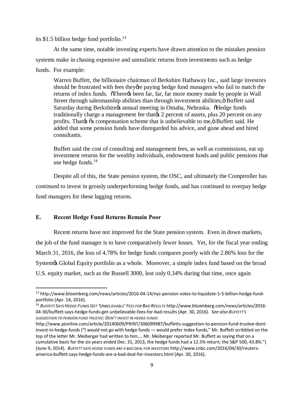its \$1.5 billion hedge fund portfolio. $^{13}$ 

At the same time, notable investing experts have drawn attention to the mistakes pension systems make in chasing expensive and unrealistic returns from investments such as hedge funds. For example:

Warren Buffett, the billionaire chairman of Berkshire Hathaway Inc., said large investors should be frustrated with fees they are paying hedge fund managers who fail to match the returns of index funds. There the been far, far, far more money made by people in Wall Street through salesmanship abilities than through investment abilities, ö Buffett said Saturday during Berkshire& annual meeting in Omaha, Nebraska. õHedge funds traditionally charge a management fee that  $\alpha$  2 percent of assets, plus 20 percent on any profits. That as  $\tilde{\alpha}$  compensation scheme that is unbelievable to me,  $\ddot{\alpha}$  Buffett said. He added that some pension funds have disregarded his advice, and gone ahead and hired consultants.

Buffett said the cost of consulting and management fees, as well as commissions, eat up investment returns for the wealthy individuals, endowment funds and public pensions that use hedge funds. $14$ 

Despite all of this, the State pension system, the OSC, and ultimately the Comptroller has continued to invest in grossly underperforming hedge funds, and has continued to overpay hedge fund managers for these lagging returns.

### **E. Recent Hedge Fund Returns Remain Poor**

Recent returns have not improved for the State pension system. Even in down markets, the job of the fund manager is to have comparatively fewer losses. Yet, for the fiscal year ending March 31, 2016, the loss of 4.78% for hedge funds compares poorly with the 2.86% loss for the System & Global Equity portfolio as a whole. Moreover, a simple index fund based on the broad U.S. equity market, such as the Russell 3000, lost only 0.34% during that time, once again

 <sup>13</sup> http://www.bloomberg.com/news/articles/2016-04-14/nyc-pension-votes-to-liquidate-1-5-billion-hedge-fundportfolio (Apr. 14, 2016).

<sup>14</sup> *BUFFETT SAYS HEDGE FUNDS GET 'UNBELIEVABLE' FEES FOR BAD RESULTS* http://www.bloomberg.com/news/articles/2016- 04-30/buffett-says-hedge-funds-get-unbelievable-fees-for-bad-results (Apr. 30, 2016). S*ee also BUFFETT'S SUGGESTION TO PENSION FUND TRUSTEE: DON'T INVEST IN HEDGE FUNDS*

http://www.pionline.com/article/20140609/PRINT/306099987/buffetts-suggestion-to-pension-fund-trustee-dontinvest-in-hedge-funds ("I would not go with hedge funds — would prefer index funds," Mr. Buffett scribbled on the top of the letter Mr. Meiberger had written to him…. Mr. Meiberger reported Mr. Buffett as saying that on a cumulative basis for the six years ended Dec. 31, 2013, the hedge funds had a 12.5% return; the S&P 500, 43.8%.") (June 9, 2014). *BUFFETT SAYS HEDGE FUNDS ARE A BAD DEAL FOR INVESTORS* http://www.cnbc.com/2016/04/30/reutersamerica-buffett-says-hedge-funds-are-a-bad-deal-for-investors.html (Apr. 30, 2016).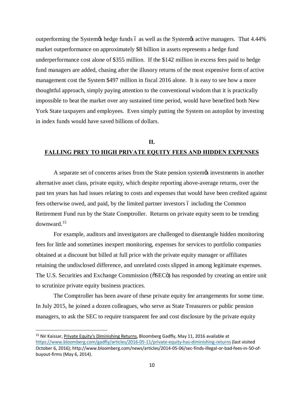outperforming the System is hedge funds 6 as well as the System is active managers. That 4.44% market outperformance on approximately \$8 billion in assets represents a hedge fund underperformance cost alone of \$355 million. If the \$142 million in excess fees paid to hedge fund managers are added, chasing after the illusory returns of the most expensive form of active management cost the System \$497 million in fiscal 2016 alone. It is easy to see how a more thoughtful approach, simply paying attention to the conventional wisdom that it is practically impossible to beat the market over any sustained time period, would have benefited both New York State taxpayers and employees. Even simply putting the System on autopilot by investing in index funds would have saved billions of dollars.

### **II.**

### **FALLING PREY TO HIGH PRIVATE EQUITY FEES AND HIDDEN EXPENSES**

A separate set of concerns arises from the State pension system to investments in another alternative asset class, private equity, which despite reporting above-average returns, over the past ten years has had issues relating to costs and expenses that would have been credited against fees otherwise owed, and paid, by the limited partner investors 6 including the Common Retirement Fund run by the State Comptroller. Returns on private equity seem to be trending downward.<sup>15</sup>

For example, auditors and investigators are challenged to disentangle hidden monitoring fees for little and sometimes inexpert monitoring, expenses for services to portfolio companies obtained at a discount but billed at full price with the private equity manager or affiliates retaining the undisclosed difference, and unrelated costs slipped in among legitimate expenses. The U.S. Securities and Exchange Commission ( $\delta$ SEC $\ddot{\rm o}$ ) has responded by creating an entire unit to scrutinize private equity business practices.

The Comptroller has been aware of these private equity fee arrangements for some time. In July 2015, he joined a dozen colleagues, who serve as State Treasurers or public pension managers, to ask the SEC to require transparent fee and cost disclosure by the private equity

<sup>&</sup>lt;sup>15</sup> Nir Kaissar, Private Equity's Diminishing Returns, Bloomberg Gadfly, May 11, 2016 available at https://www.bloomberg.com/gadfly/articles/2016-05-11/private-equity-has-diminishing-returns (last visited October 6, 2016); http://www.bloomberg.com/news/articles/2014-05-06/sec-finds-illegal-or-bad-fees-in-50-ofbuyout-firms (May 6, 2014).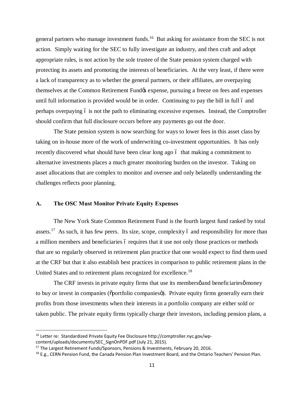general partners who manage investment funds.<sup>16</sup> But asking for assistance from the SEC is not action. Simply waiting for the SEC to fully investigate an industry, and then craft and adopt appropriate rules, is not action by the sole trustee of the State pension system charged with protecting its assets and promoting the interests of beneficiaries. At the very least, if there were a lack of transparency as to whether the general partners, or their affiliates, are overpaying themselves at the Common Retirement Fundos expense, pursuing a freeze on fees and expenses until full information is provided would be in order. Continuing to pay the bill in full 6 and perhaps overpaying – is not the path to eliminating excessive expenses. Instead, the Comptroller should confirm that full disclosure occurs before any payments go out the door.

The State pension system is now searching for ways to lower fees in this asset class by taking on in-house more of the work of underwriting co-investment opportunities. It has only recently discovered what should have been clear long ago 6 that making a commitment to alternative investments places a much greater monitoring burden on the investor. Taking on asset allocations that are complex to monitor and oversee and only belatedly understanding the challenges reflects poor planning.

### **A. The OSC Must Monitor Private Equity Expenses**

The New York State Common Retirement Fund is the fourth largest fund ranked by total assets.<sup>17</sup> As such, it has few peers. Its size, scope, complexity 6 and responsibility for more than a million members and beneficiaries 6 requires that it use not only those practices or methods that are so regularly observed in retirement plan practice that one would expect to find them used at the CRF but that it also establish best practices in comparison to public retirement plans in the United States and to retirement plans recognized for excellence.<sup>18</sup>

The CRF invests in private equity firms that use its members  $\phi$  and beneficiaries  $\phi$  money to buy or invest in companies ( $\ddot{\text{o}}$  portfolio companies $\ddot{\text{o}}$ ). Private equity firms generally earn their profits from those investments when their interests in a portfolio company are either sold or taken public. The private equity firms typically charge their investors, including pension plans, a

 <sup>16</sup> Letter re: Standardized Private Equity Fee Disclosure http://comptroller.nyc.gov/wpcontent/uploads/documents/SEC\_SignOnPDF.pdf (July 21, 2015).<br><sup>17</sup> The Largest Retirement Funds/Sponsors, Pensions & Investments, February 20, 2016.

<sup>&</sup>lt;sup>18</sup> E.g., CERN Pension Fund, the Canada Pension Plan Investment Board, and the Ontario Teachers' Pension Plan.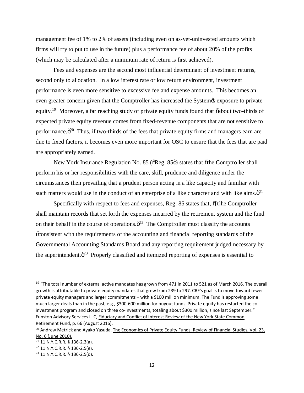management fee of 1% to 2% of assets (including even on as-yet-uninvested amounts which firms will try to put to use in the future) plus a performance fee of about 20% of the profits (which may be calculated after a minimum rate of return is first achieved).

Fees and expenses are the second most influential determinant of investment returns, second only to allocation. In a low interest rate or low return environment, investment performance is even more sensitive to excessive fee and expense amounts. This becomes an even greater concern given that the Comptroller has increased the System of exposure to private equity.<sup>19</sup> Moreover, a far reaching study of private equity funds found that  $\ddot{\text{o}}$ about two-thirds of expected private equity revenue comes from fixed-revenue components that are not sensitive to performance. $\ddot{\sigma}^{20}$  Thus, if two-thirds of the fees that private equity firms and managers earn are due to fixed factors, it becomes even more important for OSC to ensure that the fees that are paid are appropriately earned.

New York Insurance Regulation No. 85 ( $\delta$ Reg. 85 $\ddot{\text{o}}$ ) states that  $\ddot{\text{o}}$ the Comptroller shall perform his or her responsibilities with the care, skill, prudence and diligence under the circumstances then prevailing that a prudent person acting in a like capacity and familiar with such matters would use in the conduct of an enterprise of a like character and with like aims. $\ddot{\sigma}^{21}$ 

Specifically with respect to fees and expenses, Reg. 85 states that,  $\tilde{o}$ [t]he Comptroller shall maintain records that set forth the expenses incurred by the retirement system and the fund on their behalf in the course of operations. $\ddot{\sigma}^2$  The Comptroller must classify the accounts  $\alpha$  consistent with the requirements of the accounting and financial reporting standards of the Governmental Accounting Standards Board and any reporting requirement judged necessary by the superintendent. $\ddot{\sigma}^{23}$  Properly classified and itemized reporting of expenses is essential to

<sup>&</sup>lt;sup>19</sup> "The total number of external active mandates has grown from 471 in 2011 to 521 as of March 2016. The overall growth is attributable to private equity mandates that grew from 239 to 297. CRF's goal is to move toward fewer private equity managers and larger commitments – with a \$100 million minimum. The Fund is approving some much larger deals than in the past, e.g., \$300-600 million for buyout funds. Private equity has restarted the coinvestment program and closed on three co-investments, totaling about \$300 million, since last September." Funston Advisory Services LLC, Fiduciary and Conflict of Interest Review of the New York State Common Retirement Fund, p. 66 (August 2016).

<sup>&</sup>lt;sup>20</sup> Andrew Metrick and Ayako Yasuda, The Economics of Private Equity Funds, Review of Financial Studies, Vol. 23, No. 6 (June 2010).

<sup>21</sup> 11 N.Y.C.R.R. § 136-2.3(a).

<sup>22</sup> 11 N.Y.C.R.R. § 136-2.5(e).

<sup>23</sup> 11 N.Y.C.R.R. § 136-2.5(d).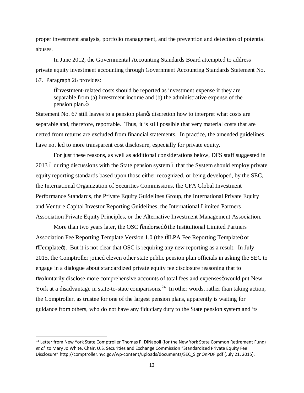proper investment analysis, portfolio management, and the prevention and detection of potential abuses.

In June 2012, the Governmental Accounting Standards Board attempted to address private equity investment accounting through Government Accounting Standards Statement No. 67. Paragraph 26 provides:

"Investment-related costs should be reported as investment expense if they are separable from (a) investment income and (b) the administrative expense of the pension plan.ö

Statement No. 67 still leaves to a pension planged is discretion how to interpret what costs are separable and, therefore, reportable. Thus, it is still possible that very material costs that are netted from returns are excluded from financial statements. In practice, the amended guidelines have not led to more transparent cost disclosure, especially for private equity.

For just these reasons, as well as additional considerations below, DFS staff suggested in 2013 6 during discussions with the State pension system 6 that the System should employ private equity reporting standards based upon those either recognized, or being developed, by the SEC, the International Organization of Securities Commissions, the CFA Global Investment Performance Standards, the Private Equity Guidelines Group, the International Private Equity and Venture Capital Investor Reporting Guidelines, the International Limited Partners Association Private Equity Principles, or the Alternative Investment Management Association.

More than two years later, the OSC õendorsedö the Institutional Limited Partners Association Fee Reporting Template Version 1.0 (the  $\delta ILPA$  Fee Reporting Templated or  $\tilde{\sigma}$ Template $\tilde{\sigma}$ ). But it is not clear that OSC is requiring any new reporting as a result. In July 2015, the Comptroller joined eleven other state public pension plan officials in asking the SEC to engage in a dialogue about standardized private equity fee disclosure reasoning that to  $\ddot{\text{o}}$  voluntarily disclose more comprehensive accounts of total fees and expenses would put New York at a disadvantage in state-to-state comparisons.<sup>24</sup> In other words, rather than taking action, the Comptroller, as trustee for one of the largest pension plans, apparently is waiting for guidance from others, who do not have any fiduciary duty to the State pension system and its

<sup>&</sup>lt;sup>24</sup> Letter from New York State Comptroller Thomas P. DiNapoli (for the New York State Common Retirement Fund) *et al.* to Mary Jo White, Chair, U.S. Securities and Exchange Commission "Standardized Private Equity Fee Disclosure" http://comptroller.nyc.gov/wp-content/uploads/documents/SEC\_SignOnPDF.pdf (July 21, 2015).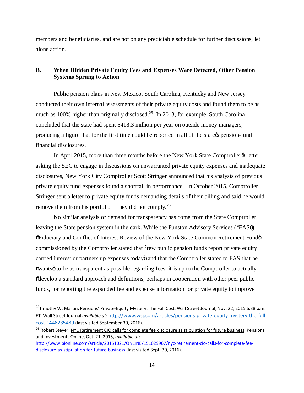members and beneficiaries, and are not on any predictable schedule for further discussions, let alone action.

### **B. When Hidden Private Equity Fees and Expenses Were Detected, Other Pension Systems Sprung to Action**

Public pension plans in New Mexico, South Carolina, Kentucky and New Jersey conducted their own internal assessments of their private equity costs and found them to be as much as 100% higher than originally disclosed.<sup>25</sup> In 2013, for example, South Carolina concluded that the state had spent \$418.3 million per year on outside money managers, producing a figure that for the first time could be reported in all of the state  $\alpha$  pension-fund financial disclosures.

In April 2015, more than three months before the New York State Comptroller ts letter asking the SEC to engage in discussions on unwarranted private equity expenses and inadequate disclosures, New York City Comptroller Scott Stringer announced that his analysis of previous private equity fund expenses found a shortfall in performance. In October 2015, Comptroller Stringer sent a letter to private equity funds demanding details of their billing and said he would remove them from his portfolio if they did not comply.26

No similar analysis or demand for transparency has come from the State Comptroller, leaving the State pension system in the dark. While the Funston Advisory Services ( $\delta$ FAS $\ddot{o}$ )  $\delta$ Fiduciary and Conflict of Interest Review of the New York State Common Retirement Fundö commissioned by the Comptroller stated that  $\delta$ few public pension funds report private equity carried interest or partnership expenses todayo and that the Comptroller stated to FAS that he  $\tilde{c}$  owants to be as transparent as possible regarding fees, it is up to the Comptroller to actually  $\ddot{\text{o}}$  develop a standard approach and definitions, perhaps in cooperation with other peer public funds, for reporting the expanded fee and expense information for private equity to improve

<sup>&</sup>lt;sup>25</sup>Timothy W. Martin, Pensions' Private-Equity Mystery: The Full Cost, Wall Street Journal, Nov. 22, 2015 6:38 p.m. ET, Wall Street Journal *available at*: http://www.wsj.com/articles/pensions-private-equity-mystery-the-fullcost-1448235489 (last visited September 30, 2016).

<sup>&</sup>lt;sup>26</sup> Robert Steyer, NYC Retirement CIO calls for complete fee disclosure as stipulation for future business, Pensions and Investments Online, Oct. 21, 2015, *available at*:

http://www.pionline.com/article/20151021/ONLINE/151029967/nyc-retirement-cio-calls-for-complete-feedisclosure-as-stipulation-for-future-business (last visited Sept. 30, 2016).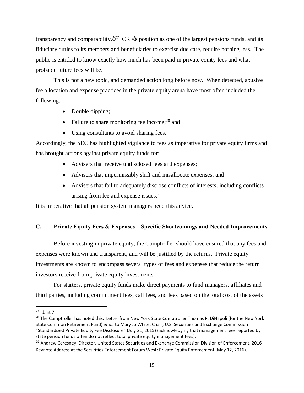transparency and comparability. $\ddot{\sigma}^{27}$  CRF $\alpha$  position as one of the largest pensions funds, and its fiduciary duties to its members and beneficiaries to exercise due care, require nothing less. The public is entitled to know exactly how much has been paid in private equity fees and what probable future fees will be.

This is not a new topic, and demanded action long before now. When detected, abusive fee allocation and expense practices in the private equity arena have most often included the following:

- Double dipping;
- Failure to share monitoring fee income; $^{28}$  and
- · Using consultants to avoid sharing fees.

Accordingly, the SEC has highlighted vigilance to fees as imperative for private equity firms and has brought actions against private equity funds for:

- Advisers that receive undisclosed fees and expenses;
- · Advisers that impermissibly shift and misallocate expenses; and
- · Advisers that fail to adequately disclose conflicts of interests, including conflicts arising from fee and expense issues.<sup>29</sup>

It is imperative that all pension system managers heed this advice.

### **C. Private Equity Fees & Expenses – Specific Shortcomings and Needed Improvements**

Before investing in private equity, the Comptroller should have ensured that any fees and expenses were known and transparent, and will be justified by the returns. Private equity investments are known to encompass several types of fees and expenses that reduce the return investors receive from private equity investments.

For starters, private equity funds make direct payments to fund managers, affiliates and third parties, including commitment fees, call fees, and fees based on the total cost of the assets

 $27$  Id. at 7.

<sup>&</sup>lt;sup>28</sup> The Comptroller has noted this. Letter from New York State Comptroller Thomas P. DiNapoli (for the New York State Common Retirement Fund) *et al.* to Mary Jo White, Chair, U.S. Securities and Exchange Commission "Standardized Private Equity Fee Disclosure" (July 21, 2015) (acknowledging that management fees reported by state pension funds often do not reflect total private equity management fees).

<sup>&</sup>lt;sup>29</sup> Andrew Ceresney, Director, United States Securities and Exchange Commission Division of Enforcement, 2016 Keynote Address at the Securities Enforcement Forum West: Private Equity Enforcement (May 12, 2016).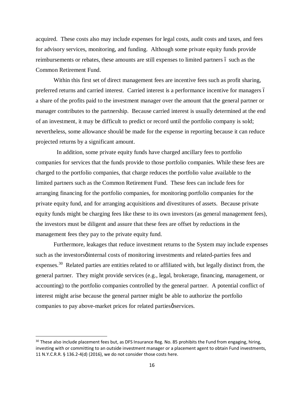acquired. These costs also may include expenses for legal costs, audit costs and taxes, and fees for advisory services, monitoring, and funding. Although some private equity funds provide reimbursements or rebates, these amounts are still expenses to limited partners  $\acute{o}$  such as the Common Retirement Fund.

Within this first set of direct management fees are incentive fees such as profit sharing, preferred returns and carried interest. Carried interest is a performance incentive for managers  $\acute{o}$ a share of the profits paid to the investment manager over the amount that the general partner or manager contributes to the partnership. Because carried interest is usually determined at the end of an investment, it may be difficult to predict or record until the portfolio company is sold; nevertheless, some allowance should be made for the expense in reporting because it can reduce projected returns by a significant amount.

 In addition, some private equity funds have charged ancillary fees to portfolio companies for services that the funds provide to those portfolio companies. While these fees are charged to the portfolio companies, that charge reduces the portfolio value available to the limited partners such as the Common Retirement Fund. These fees can include fees for arranging financing for the portfolio companies, for monitoring portfolio companies for the private equity fund, and for arranging acquisitions and divestitures of assets. Because private equity funds might be charging fees like these to its own investors (as general management fees), the investors must be diligent and assure that these fees are offset by reductions in the management fees they pay to the private equity fund.

Furthermore, leakages that reduce investment returns to the System may include expenses such as the investors of internal costs of monitoring investments and related-parties fees and expenses.<sup>30</sup> Related parties are entities related to or affiliated with, but legally distinct from, the general partner. They might provide services (e.g., legal, brokerage, financing, management, or accounting) to the portfolio companies controlled by the general partner. A potential conflict of interest might arise because the general partner might be able to authorize the portfolio companies to pay above-market prices for related parties  $\phi$  services.

 $30$  These also include placement fees but, as DFS Insurance Reg. No. 85 prohibits the Fund from engaging, hiring, investing with or committing to an outside investment manager or a placement agent to obtain Fund investments, 11 N.Y.C.R.R. § 136.2-4(d) (2016), we do not consider those costs here.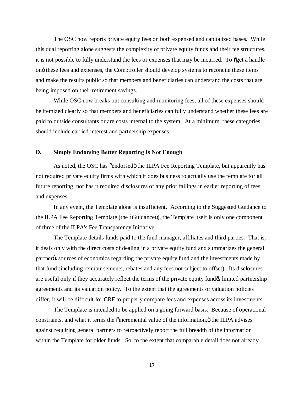The OSC now reports private equity fees on both expensed and capitalized bases. While this dual reporting alone suggests the complexity of private equity funds and their fee structures, it is not possible to fully understand the fees or expenses that may be incurred. To  $\tilde{\sigma}$  get a handle on" these fees and expenses, the Comptroller should develop systems to reconcile these items and make the results public so that members and beneficiaries can understand the costs that are being imposed on their retirement savings.

While OSC now breaks out consulting and monitoring fees, all of these expenses should be itemized clearly so that members and beneficiaries can fully understand whether these fees are paid to outside consultants or are costs internal to the system. At a minimum, these categories should include carried interest and partnership expenses.

#### **D. Simply Endorsing Better Reporting Is Not Enough**

As noted, the OSC has  $\tilde{\text{c}}$  endorsed the ILPA Fee Reporting Template, but apparently has not required private equity firms with which it does business to actually use the template for all future reporting, nor has it required disclosures of any prior failings in earlier reporting of fees and expenses.

In any event, the Template alone is insufficient. According to the Suggested Guidance to the ILPA Fee Reporting Template (the  $\delta$ Guidance $\ddot{\text{o}}$ ), the Template itself is only one component of three of the ILPA's Fee Transparency Initiative.

The Template details funds paid to the fund manager, affiliates and third parties. That is, it deals only with the direct costs of dealing in a private equity fund and summarizes the general partner is sources of economics regarding the private equity fund and the investments made by that fund (including reimbursements, rebates and any fees not subject to offset). Its disclosures are useful only if they accurately reflect the terms of the private equity fund  $\phi$  limited partnership agreements and its valuation policy. To the extent that the agreements or valuation policies differ, it will be difficult for CRF to properly compare fees and expenses across its investments.

The Template is intended to be applied on a going forward basis. Because of operational constraints, and what it terms the outcome the under the information,  $\ddot{o}$  the ILPA advises against requiring general partners to retroactively report the full breadth of the information within the Template for older funds. So, to the extent that comparable detail does not already

17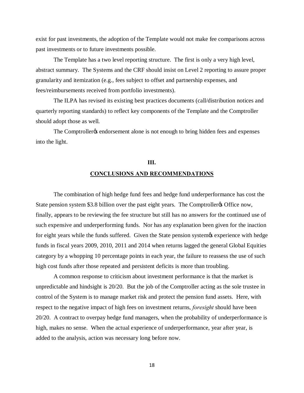exist for past investments, the adoption of the Template would not make fee comparisons across past investments or to future investments possible.

The Template has a two level reporting structure. The first is only a very high level, abstract summary. The Systems and the CRF should insist on Level 2 reporting to assure proper granularity and itemization (e.g., fees subject to offset and partnership expenses, and fees/reimbursements received from portfolio investments).

The ILPA has revised its existing best practices documents (call/distribution notices and quarterly reporting standards) to reflect key components of the Template and the Comptroller should adopt those as well.

The Comptroller to endorsement alone is not enough to bring hidden fees and expenses into the light.

# **III. CONCLUSIONS AND RECOMMENDATIONS**

The combination of high hedge fund fees and hedge fund underperformance has cost the State pension system \$3.8 billion over the past eight years. The Comptroller & Office now, finally, appears to be reviewing the fee structure but still has no answers for the continued use of such expensive and underperforming funds. Nor has any explanation been given for the inaction for eight years while the funds suffered. Given the State pension system to experience with hedge funds in fiscal years 2009, 2010, 2011 and 2014 when returns lagged the general Global Equities category by a whopping 10 percentage points in each year, the failure to reassess the use of such high cost funds after those repeated and persistent deficits is more than troubling.

A common response to criticism about investment performance is that the market is unpredictable and hindsight is 20/20. But the job of the Comptroller acting as the sole trustee in control of the System is to manage market risk and protect the pension fund assets. Here, with respect to the negative impact of high fees on investment returns, *foresight* should have been 20/20. A contract to overpay hedge fund managers, when the probability of underperformance is high, makes no sense. When the actual experience of underperformance, year after year, is added to the analysis, action was necessary long before now.